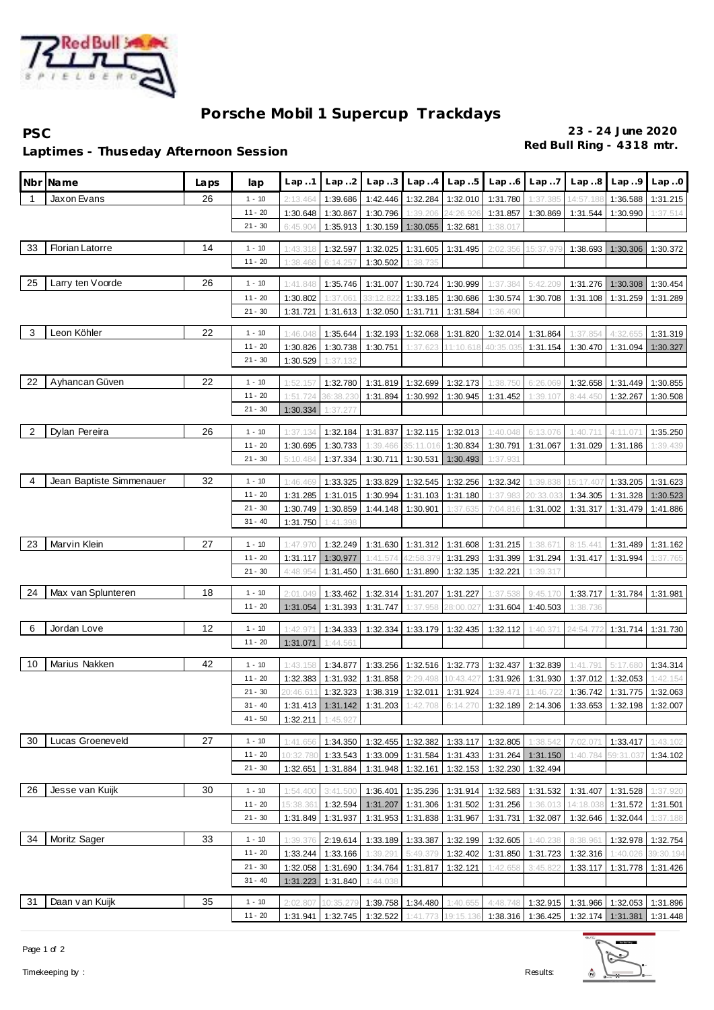

## **Porsche Mobil 1 Supercup Trackdays**

**PSC 23 - 24 June 2020**

**Red Bull Ring - 4318 mtr. Laptimes - Thuseday Afternoon Session**

| Nbr            | Na me                    | Laps | lap                   | Lap.1                 | Lap.2                | Lap.3                | Lap.4                                  | Lap.5             | Lap.6                                                | Lap.7                | Lap.8                                                                                     | Lap.9             | Lap.0                |
|----------------|--------------------------|------|-----------------------|-----------------------|----------------------|----------------------|----------------------------------------|-------------------|------------------------------------------------------|----------------------|-------------------------------------------------------------------------------------------|-------------------|----------------------|
| 1              | Jaxon Evans              | 26   | $1 - 10$              | 2:13.464              | 1:39.686             | 1:42.446             | 1:32.284                               | 1:32.010          | 1:31.780                                             | 1:37.385             | 14:57.18                                                                                  | 1:36.588          | 1:31.215             |
|                |                          |      | $11 - 20$             | 1:30.648              | 1:30.867             | 1:30.796             | 1:39.206                               | 24:26.92          | 1:31.857                                             | 1:30.869             | 1:31.544                                                                                  | 1:30.990          | 1:37.514             |
|                |                          |      | $21 - 30$             | 6:45.904              | 1:35.913             | 1:30.159             | 1:30.055                               | 1:32.681          | 1:38.017                                             |                      |                                                                                           |                   |                      |
| 33             | Florian Latorre          | 14   | $1 - 10$              | 1:43.318              | 1:32.597             | 1:32.025             |                                        | 1:31.605 1:31.495 | 2:02.356                                             | 15:37.97             | 1:38.693                                                                                  | 1:30.306          | 1:30.372             |
|                |                          |      | $11 - 20$             | 1:38.468              | 6:14.257             | 1:30.502             | 1:38.735                               |                   |                                                      |                      |                                                                                           |                   |                      |
|                |                          |      |                       |                       |                      |                      |                                        |                   |                                                      |                      |                                                                                           |                   |                      |
| 25             | Larry ten Voorde         | 26   | $1 - 10$              | 1:41.848              | 1:35.746             | 1:31.007             | 1:30.724                               | 1:30.999          | 1:37.384                                             | 5:42.209             | 1:31.276                                                                                  | 1:30.308          | 1:30.454             |
|                |                          |      | $11 - 20$             | 1:30.802              | 1:37.061             | 33:12.822            |                                        | 1:33.185 1:30.686 | 1:30.574                                             | 1:30.708             |                                                                                           | 1:31.108 1:31.259 | 1:31.289             |
|                |                          |      | $21 - 30$             | 1:31.721              | 1:31.613             | 1:32.050             | 1:31.711                               | 1:31.584          | 1:36.490                                             |                      |                                                                                           |                   |                      |
| 3              | Leon Köhler              | 22   | $1 - 10$              | 1:46.048              | 1:35.644             | 1:32.193             | 1:32.068                               | 1:31.820          | 1:32.014                                             | 1:31.864             | 1:37.854                                                                                  | 4:32.655          | 1:31.319             |
|                |                          |      | $11 - 20$             | 1:30.826              | 1:30.738             | 1:30.751             | 1:37.623                               | 11:10.61          | 40:35.03                                             | 1:31.154             | 1:30.470                                                                                  | 1:31.094          | 1:30.327             |
|                |                          |      | $21 - 30$             | 1:30.529              | 1:37.132             |                      |                                        |                   |                                                      |                      |                                                                                           |                   |                      |
| 22             | Ayhancan Güven           | 22   | $1 - 10$              | 1:52.157              | 1:32.780             | 1:31.819             | 1:32.699                               | 1:32.173          | 1:38.750                                             | 6:26.069             | 1:32.658                                                                                  | 1:31.449          | 1:30.855             |
|                |                          |      | $11 - 20$             | 1:51.724              | 36:38.230            | 1:31.894             | 1:30.992                               | 1:30.945          | 1:31.452                                             | 1:39.107             | 8:44.450                                                                                  | 1:32.267          | 1:30.508             |
|                |                          |      | $21 - 30$             | 1:30.334              | 1:37.277             |                      |                                        |                   |                                                      |                      |                                                                                           |                   |                      |
| $\overline{c}$ | Dylan Pereira            | 26   | $1 - 10$              |                       |                      |                      |                                        | 1:32.013          |                                                      |                      |                                                                                           | 4:11.07           |                      |
|                |                          |      | $11 - 20$             | 1:37.134<br>1:30.695  | 1:32.184<br>1:30.733 | 1:31.837<br>1:39.466 | 1:32.115<br>35:11.016                  | 1:30.834          | 1:40.048<br>1:30.791                                 | 6:13.076<br>1:31.067 | 1:40.711<br>1:31.029                                                                      | 1:31.186          | 1:35.250<br>1:39.439 |
|                |                          |      | $21 - 30$             | 5:10.484              | 1:37.334             | 1:30.711             | 1:30.531                               | 1:30.493          | 1:37.93'                                             |                      |                                                                                           |                   |                      |
|                |                          |      |                       |                       |                      |                      |                                        |                   |                                                      |                      |                                                                                           |                   |                      |
| 4              | Jean Baptiste Simmenauer | 32   | $1 - 10$              | 1:46.469              | 1:33.325             | 1:33.829             | 1:32.545                               | 1:32.256          | 1:32.342                                             | 1:39.838             | 15:17.407                                                                                 | 1:33.205          | 1:31.623             |
|                |                          |      | $11 - 20$             | 1:31.285              | 1:31.015             | 1:30.994             | 1:31.103                               | 1:31.180          | 1:37.983                                             | 20:33.03             | 1:34.305                                                                                  | 1:31.328          | 1:30.523             |
|                |                          |      | $21 - 30$             | 1:30.749              | 1:30.859             | 1:44.148             | 1:30.901                               | 1:37.635          | 7:04.816                                             | 1:31.002             | 1:31.317                                                                                  | 1:31.479          | 1:41.886             |
|                |                          |      | $31 - 40$             | 1:31.750              | 1:41.398             |                      |                                        |                   |                                                      |                      |                                                                                           |                   |                      |
| 23             | Marvin Klein             | 27   | $1 - 10$              | 1:47.97               | 1:32.249             | 1:31.630             |                                        | 1:31.312 1:31.608 | 1:31.215                                             | 1:38.67              | 8:15.441                                                                                  | 1:31.489          | 1:31.162             |
|                |                          |      | $11 - 20$             | 1:31.117              | 1:30.977             | 1:41.574             | 42:58.379                              | 1:31.293          | 1:31.399                                             | 1:31.294             | 1:31.417                                                                                  | 1:31.994          | 1:37.765             |
|                |                          |      | $21 - 30$             | 4:48.954              | 1:31.450             | 1:31.660             |                                        | 1:31.890 1:32.135 | 1:32.221                                             | 1:39.317             |                                                                                           |                   |                      |
| 24             | Max van Splunteren       | 18   | $1 - 10$              | 2:01.049              | 1:33.462             | 1:32.314             | 1:31.207                               | 1:31.227          | 1:37.538                                             | 9:45.170             | 1:33.717                                                                                  | 1:31.784          | 1:31.981             |
|                |                          |      | $11 - 20$             | 1:31.054              | 1:31.393             | 1:31.747             | 1:37.958                               | 28:00.02          | 1:31.604                                             | 1:40.503             | 1:38.736                                                                                  |                   |                      |
|                |                          |      |                       |                       |                      |                      |                                        |                   |                                                      |                      |                                                                                           |                   |                      |
| 6              | Jordan Love              | 12   | $1 - 10$              | 1:42.97               | 1:34.333             | 1:32.334             | 1:33.179                               | 1:32.435          | 1:32.112                                             | 1:40.37              | 24:54.77                                                                                  | 1:31.714          | 1:31.730             |
|                |                          |      | $11 - 20$             | 1:31.071              | 1:44.561             |                      |                                        |                   |                                                      |                      |                                                                                           |                   |                      |
| 10             | Marius Nakken            | 42   | $1 - 10$              | 1:43.158              | 1:34.877             | 1:33.256             |                                        | 1:32.516 1:32.773 | 1:32.437                                             | 1:32.839             | 1:41.791                                                                                  | 5:17.680          | 1:34.314             |
|                |                          |      | $11 - 20$             | 1:32.383              | 1:31.932             | 1:31.858             | 2:29.498                               | 10:43.42          | 1:31.926                                             | 1:31.930             | 1:37.012                                                                                  | 1:32.053          | 1:42.154             |
|                |                          |      | $21 - 30$             | 20:46.61              | 1:32.323             | 1:38.319             | 1:32.011                               | 1:31.924          | 1:39.471                                             | 11:46.722            | 1:36.742                                                                                  | 1:31.775          | 1:32.063             |
|                |                          |      | $31 - 40$             |                       |                      |                      |                                        |                   |                                                      |                      | 1:31.413 1:31.142 1:31.203 1:42.708 6:14.270 1:32.189 2:14.306 1:33.653 1:32.198 1:32.007 |                   |                      |
|                |                          |      | $41 - 50$             | 1:32.211              | 1:45.927             |                      |                                        |                   |                                                      |                      |                                                                                           |                   |                      |
| 30             | Lucas Groeneveld         | 27   | $1 - 10$              | 1:41.656              | 1:34.350             |                      |                                        |                   | 1:32.455 1:32.382 1:33.117 1:32.805                  | 1:38.542             | 7:02.071                                                                                  | 1:33.417          | 1:43.102             |
|                |                          |      | $11 - 20$             | 10:32.780             | 1:33.543             |                      |                                        |                   | 1:33.009   1:31.584   1:31.433   1:31.264   1:31.150 |                      | 1:40.784                                                                                  | 59:31.037         | 1:34.102             |
|                |                          |      | $21 - 30$             | 1:32.651              | 1:31.884             |                      | 1:31.948 1:32.161 1:32.153             |                   |                                                      | 1:32.230 1:32.494    |                                                                                           |                   |                      |
|                |                          |      |                       |                       |                      |                      |                                        |                   |                                                      |                      |                                                                                           |                   |                      |
| 26             | Jesse van Kuijk          | 30   | $1 - 10$<br>$11 - 20$ | 1:54.400              | 3:41.500             | 1:36.401             |                                        | 1:35.236 1:31.914 |                                                      | 1:32.583 1:31.532    | 1:31.407                                                                                  | 1:31.528          | 1:37.920             |
|                |                          |      | $21 - 30$             | 15:38.361<br>1:31.849 | 1:32.594<br>1:31.937 |                      | 1:31.207 1:31.306 1:31.502<br>1:31.838 | 1:31.967          | 1:31.256                                             | 1:36.013<br>1:32.087 | 14:18.038<br>1:32.646                                                                     | 1:31.572          | 1:31.501             |
|                |                          |      |                       |                       |                      | 1:31.953             |                                        |                   | 1:31.731                                             |                      |                                                                                           | 1:32.044          | 1:37.188             |
| 34             | Moritz Sager             | 33   | $1 - 10$              | 1:39.376              | 2:19.614             | 1:33.189             | 1:33.387                               | 1:32.199          | 1:32.605                                             | 1:40.238             | 8:38.961                                                                                  | 1:32.978          | 1:32.754             |
|                |                          |      | $11 - 20$             | 1:33.244              | 1:33.166             | 1:39.291             | 5:49.379                               | 1:32.402          | 1:31.850                                             | 1:31.723             | 1:32.316                                                                                  | 1:40.026          | 39:30.194            |
|                |                          |      | $21 - 30$             |                       | 1:32.058 1:31.690    | 1:34.764             |                                        | 1:31.817 1:32.121 | 1:42.658                                             | 3:45.822             | 1:33.117                                                                                  | 1:31.778          | 1:31.426             |
|                |                          |      | $31 - 40$             |                       | 1:31.223 1:31.840    | 1:44.038             |                                        |                   |                                                      |                      |                                                                                           |                   |                      |
| 31             | Daan van Kuijk           | 35   | $1 - 10$              | 2:02.807              | 10:35.279            |                      | 1:39.758 1:34.480                      | 1:40.655          | 4:48.748                                             |                      | 1:32.915   1:31.966   1:32.053   1:31.896                                                 |                   |                      |
|                |                          |      | $11 - 20$             |                       | 1:31.941 1:32.745    | 1:32.522             | 1:41.773                               | 19:15.136         |                                                      |                      | 1:38.316   1:36.425   1:32.174   1:31.381   1:31.448                                      |                   |                      |